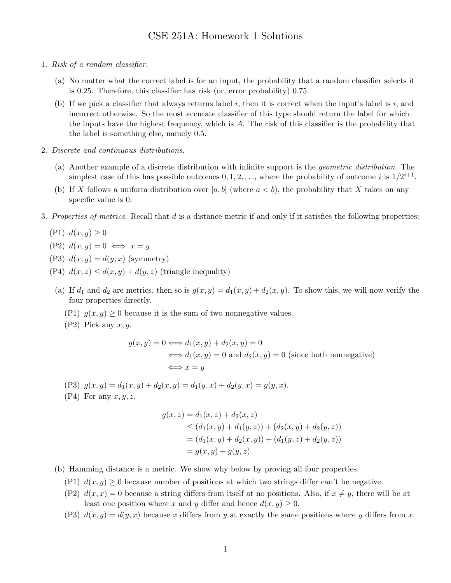- 1. Risk of a random classifier.
	- (a) No matter what the correct label is for an input, the probability that a random classifier selects it is 0.25. Therefore, this classifier has risk (or, error probability) 0.75.
	- (b) If we pick a classifier that always returns label i, then it is correct when the input's label is  $i$ , and incorrect otherwise. So the most accurate classifier of this type should return the label for which the inputs have the highest frequency, which is A. The risk of this classifier is the probability that the label is something else, namely 0.5.
- 2. Discrete and continuous distributions.
	- (a) Another example of a discrete distribution with infinite support is the geometric distribution. The simplest case of this has possible outcomes  $0, 1, 2, \ldots$ , where the probability of outcome i is  $1/2^{i+1}$ .
	- (b) If X follows a uniform distribution over [a, b] (where  $a < b$ ), the probability that X takes on any specific value is 0.
- 3. Properties of metrics. Recall that d is a distance metric if and only if it satisfies the following properties:
	- (P1)  $d(x, y) \ge 0$
	- $(P2) d(x, y) = 0 \iff x = y$
	- (P3)  $d(x, y) = d(y, x)$  (symmetry)
	- (P4)  $d(x, z) \leq d(x, y) + d(y, z)$  (triangle inequality)
	- (a) If  $d_1$  and  $d_2$  are metrics, then so is  $g(x, y) = d_1(x, y) + d_2(x, y)$ . To show this, we will now verify the four properties directly.
		- (P1)  $g(x, y) \geq 0$  because it is the sum of two nonnegative values.
		- $(P2)$  Pick any  $x, y$ .

$$
g(x, y) = 0 \iff d_1(x, y) + d_2(x, y) = 0
$$
  

$$
\iff d_1(x, y) = 0 \text{ and } d_2(x, y) = 0 \text{ (since both nonnegative)}
$$
  

$$
\iff x = y
$$

- (P3)  $g(x, y) = d_1(x, y) + d_2(x, y) = d_1(y, x) + d_2(y, x) = g(y, x)$ .
- $(P4)$  For any  $x, y, z$ ,

$$
g(x, z) = d_1(x, z) + d_2(x, z)
$$
  
\n
$$
\leq (d_1(x, y) + d_1(y, z)) + (d_2(x, y) + d_2(y, z))
$$
  
\n
$$
= (d_1(x, y) + d_2(x, y)) + (d_1(y, z) + d_2(y, z))
$$
  
\n
$$
= g(x, y) + g(y, z)
$$

- (b) Hamming distance is a metric. We show why below by proving all four properties.
	- (P1)  $d(x, y) \geq 0$  because number of positions at which two strings differ can't be negative.
	- (P2)  $d(x, x) = 0$  because a string differs from itself at no positions. Also, if  $x \neq y$ , there will be at least one position where x and y differ and hence  $d(x, y) \geq 0$ .
	- (P3)  $d(x, y) = d(y, x)$  because x differs from y at exactly the same positions where y differs from x.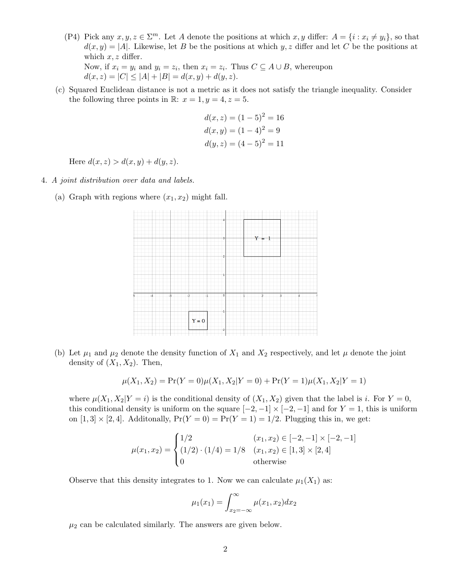(P4) Pick any  $x, y, z \in \Sigma^m$ . Let A denote the positions at which  $x, y$  differ:  $A = \{i : x_i \neq y_i\}$ , so that  $d(x, y) = |A|$ . Likewise, let B be the positions at which y, z differ and let C be the positions at which  $x, z$  differ.

Now, if  $x_i = y_i$  and  $y_i = z_i$ , then  $x_i = z_i$ . Thus  $C \subseteq A \cup B$ , whereupon  $d(x, z) = |C| \leq |A| + |B| = d(x, y) + d(y, z).$ 

(c) Squared Euclidean distance is not a metric as it does not satisfy the triangle inequality. Consider the following three points in R:  $x = 1, y = 4, z = 5$ .

$$
d(x, z) = (1 - 5)2 = 16
$$
  
\n
$$
d(x, y) = (1 - 4)2 = 9
$$
  
\n
$$
d(y, z) = (4 - 5)2 = 11
$$

Here  $d(x, z) > d(x, y) + d(y, z)$ .

- 4. A joint distribution over data and labels.
	- (a) Graph with regions where  $(x_1, x_2)$  might fall.



(b) Let  $\mu_1$  and  $\mu_2$  denote the density function of  $X_1$  and  $X_2$  respectively, and let  $\mu$  denote the joint density of  $(X_1, X_2)$ . Then,

$$
\mu(X_1, X_2) = \Pr(Y = 0)\mu(X_1, X_2|Y = 0) + \Pr(Y = 1)\mu(X_1, X_2|Y = 1)
$$

where  $\mu(X_1, X_2|Y = i)$  is the conditional density of  $(X_1, X_2)$  given that the label is i. For  $Y = 0$ , this conditional density is uniform on the square  $[-2, -1] \times [-2, -1]$  and for  $Y = 1$ , this is uniform on  $[1, 3] \times [2, 4]$ . Additonally,  $Pr(Y = 0) = Pr(Y = 1) = 1/2$ . Plugging this in, we get:

$$
\mu(x_1, x_2) = \begin{cases}\n1/2 & (x_1, x_2) \in [-2, -1] \times [-2, -1] \\
(1/2) \cdot (1/4) = 1/8 & (x_1, x_2) \in [1, 3] \times [2, 4] \\
0 & \text{otherwise}\n\end{cases}
$$

Observe that this density integrates to 1. Now we can calculate  $\mu_1(X_1)$  as:

$$
\mu_1(x_1) = \int_{x_2 = -\infty}^{\infty} \mu(x_1, x_2) dx_2
$$

 $\mu_2$  can be calculated similarly. The answers are given below.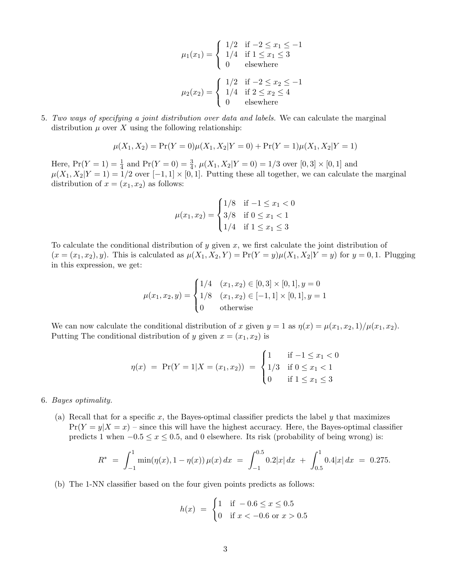$$
\mu_1(x_1) = \begin{cases} 1/2 & \text{if } -2 \le x_1 \le -1 \\ 1/4 & \text{if } 1 \le x_1 \le 3 \\ 0 & \text{elsewhere} \end{cases}
$$

$$
\mu_2(x_2) = \begin{cases} 1/2 & \text{if } -2 \le x_2 \le -1 \\ 1/4 & \text{if } 2 \le x_2 \le 4 \\ 0 & \text{elsewhere} \end{cases}
$$

5. Two ways of specifying a joint distribution over data and labels. We can calculate the marginal distribution  $\mu$  over X using the following relationship:

$$
\mu(X_1, X_2) = \Pr(Y = 0)\mu(X_1, X_2|Y = 0) + \Pr(Y = 1)\mu(X_1, X_2|Y = 1)
$$

Here,  $Pr(Y = 1) = \frac{1}{4}$  and  $Pr(Y = 0) = \frac{3}{4}$ ,  $\mu(X_1, X_2 | Y = 0) = 1/3$  over  $[0, 3] \times [0, 1]$  and  $\mu(X_1, X_2|Y=1) = 1/2$  over  $[-1, 1] \times [0, 1]$ . Putting these all together, we can calculate the marginal distribution of  $x = (x_1, x_2)$  as follows:

$$
\mu(x_1, x_2) = \begin{cases} 1/8 & \text{if } -1 \le x_1 < 0 \\ 3/8 & \text{if } 0 \le x_1 < 1 \\ 1/4 & \text{if } 1 \le x_1 \le 3 \end{cases}
$$

To calculate the conditional distribution of y given  $x$ , we first calculate the joint distribution of  $(x = (x_1, x_2), y)$ . This is calculated as  $\mu(X_1, X_2, Y) = \Pr(Y = y) \mu(X_1, X_2 | Y = y)$  for  $y = 0, 1$ . Plugging in this expression, we get:

$$
\mu(x_1, x_2, y) = \begin{cases} 1/4 & (x_1, x_2) \in [0, 3] \times [0, 1], y = 0 \\ 1/8 & (x_1, x_2) \in [-1, 1] \times [0, 1], y = 1 \\ 0 & \text{otherwise} \end{cases}
$$

We can now calculate the conditional distribution of x given  $y = 1$  as  $\eta(x) = \mu(x_1, x_2, 1)/\mu(x_1, x_2)$ . Putting The conditional distribution of y given  $x = (x_1, x_2)$  is

$$
\eta(x) = \Pr(Y = 1 | X = (x_1, x_2)) = \begin{cases} 1 & \text{if } -1 \le x_1 < 0 \\ 1/3 & \text{if } 0 \le x_1 < 1 \\ 0 & \text{if } 1 \le x_1 \le 3 \end{cases}
$$

- 6. Bayes optimality.
	- (a) Recall that for a specific x, the Bayes-optimal classifier predicts the label y that maximizes  $Pr(Y = y | X = x)$  – since this will have the highest accuracy. Here, the Bayes-optimal classifier predicts 1 when  $-0.5 \le x \le 0.5$ , and 0 elsewhere. Its risk (probability of being wrong) is:

$$
R^* = \int_{-1}^1 \min(\eta(x), 1 - \eta(x)) \mu(x) dx = \int_{-1}^{0.5} 0.2|x| dx + \int_{0.5}^1 0.4|x| dx = 0.275.
$$

(b) The 1-NN classifier based on the four given points predicts as follows:

$$
h(x) = \begin{cases} 1 & \text{if } -0.6 \le x \le 0.5 \\ 0 & \text{if } x < -0.6 \text{ or } x > 0.5 \end{cases}
$$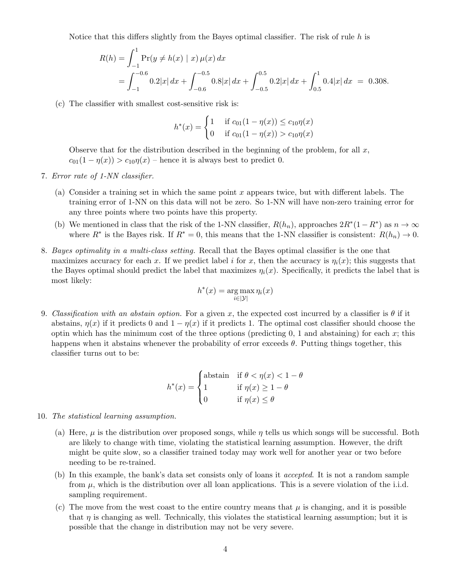Notice that this differs slightly from the Bayes optimal classifier. The risk of rule  $h$  is

$$
R(h) = \int_{-1}^{1} \Pr(y \neq h(x) \mid x) \mu(x) dx
$$
  
= 
$$
\int_{-1}^{-0.6} 0.2|x| dx + \int_{-0.6}^{-0.5} 0.8|x| dx + \int_{-0.5}^{0.5} 0.2|x| dx + \int_{0.5}^{1} 0.4|x| dx = 0.308.
$$

(c) The classifier with smallest cost-sensitive risk is:

$$
h^*(x) = \begin{cases} 1 & \text{if } c_{01}(1 - \eta(x)) \le c_{10}\eta(x) \\ 0 & \text{if } c_{01}(1 - \eta(x)) > c_{10}\eta(x) \end{cases}
$$

Observe that for the distribution described in the beginning of the problem, for all  $x$ ,  $c_{01}(1 - \eta(x)) > c_{10}\eta(x)$  – hence it is always best to predict 0.

- 7. Error rate of 1-NN classifier.
	- (a) Consider a training set in which the same point x appears twice, but with different labels. The training error of 1-NN on this data will not be zero. So 1-NN will have non-zero training error for any three points where two points have this property.
	- (b) We mentioned in class that the risk of the 1-NN classifier,  $R(h_n)$ , approaches  $2R^*(1-R^*)$  as  $n \to \infty$ where  $R^*$  is the Bayes risk. If  $R^* = 0$ , this means that the 1-NN classifier is consistent:  $R(h_n) \to 0$ .
- 8. Bayes optimality in a multi-class setting. Recall that the Bayes optimal classifier is the one that maximizes accuracy for each x. If we predict label i for x, then the accuracy is  $\eta_i(x)$ ; this suggests that the Bayes optimal should predict the label that maximizes  $\eta_i(x)$ . Specifically, it predicts the label that is most likely:

$$
h^*(x) = \arg\max_{i \in |\mathcal{Y}|} \eta_i(x)
$$

9. Classification with an abstain option. For a given x, the expected cost incurred by a classifier is  $\theta$  if it abstains,  $\eta(x)$  if it predicts 0 and  $1 - \eta(x)$  if it predicts 1. The optimal cost classifier should choose the optin which has the minimum cost of the three options (predicting  $0, 1$  and abstaining) for each x; this happens when it abstains whenever the probability of error exceeds  $\theta$ . Putting things together, this classifier turns out to be:

$$
h^*(x) = \begin{cases} \text{abstain} & \text{if } \theta < \eta(x) < 1 - \theta \\ 1 & \text{if } \eta(x) \ge 1 - \theta \\ 0 & \text{if } \eta(x) \le \theta \end{cases}
$$

- 10. The statistical learning assumption.
	- (a) Here,  $\mu$  is the distribution over proposed songs, while  $\eta$  tells us which songs will be successful. Both are likely to change with time, violating the statistical learning assumption. However, the drift might be quite slow, so a classifier trained today may work well for another year or two before needing to be re-trained.
	- (b) In this example, the bank's data set consists only of loans it accepted. It is not a random sample from  $\mu$ , which is the distribution over all loan applications. This is a severe violation of the i.i.d. sampling requirement.
	- (c) The move from the west coast to the entire country means that  $\mu$  is changing, and it is possible that  $\eta$  is changing as well. Technically, this violates the statistical learning assumption; but it is possible that the change in distribution may not be very severe.